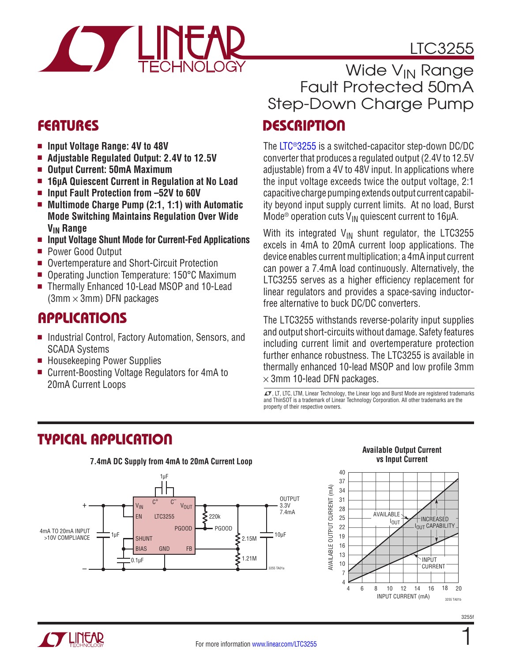# LTC3255



- **Input Voltage Range: 4V to 48V**
- Adjustable Regulated Output: 2.4V to 12.5V
- <sup>n</sup> **Output Current: 50mA Maximum**
- <sup>n</sup> **16μA Quiescent Current in Regulation at No Load**
- Input Fault Protection from  $-52V$  to 60V
- <sup>n</sup> **Multimode Charge Pump (2:1, 1:1) with Automatic Mode Switching Maintains Regulation Over Wide VIN Range**
- <sup>n</sup> **Input Voltage Shunt Mode for Current-Fed Applications**
- **Power Good Output**
- Overtemperature and Short-Circuit Protection
- Operating Junction Temperature: 150°C Maximum
- Thermally Enhanced 10-Lead MSOP and 10-Lead  $(3mm \times 3mm)$  DFN packages

### **APPLICATIONS**

- Industrial Control, Factory Automation, Sensors, and SCADA Systems
- Housekeeping Power Supplies
- Current-Boosting Voltage Regulators for 4mA to 20mA Current Loops

# Wide V<sub>IN</sub> Range Fault Protected 50mA Step-Down Charge Pump

# FEATURES DESCRIPTION

The [LTC®3255](http://www.linear.com/LTC3255) is a switched-capacitor step-down DC/DC converter that produces a regulated output (2.4V to 12.5V adjustable) from a 4V to 48V input. In applications where the input voltage exceeds twice the output voltage, 2:1 capacitive charge pumping extends output current capability beyond input supply current limits. At no load, Burst Mode<sup>®</sup> operation cuts  $V_{IN}$  quiescent current to 16µA.

With its integrated  $V_{\text{IN}}$  shunt regulator, the LTC3255 excels in 4mA to 20mA current loop applications. The device enables current multiplication; a 4mA input current can power a 7.4mA load continuously. Alternatively, the LTC3255 serves as a higher efficiency replacement for linear regulators and provides a space-saving inductorfree alternative to buck DC/DC converters.

The LTC3255 withstands reverse-polarity input supplies and output short-circuits without damage. Safety features including current limit and overtemperature protection further enhance robustness. The LTC3255 is available in thermally enhanced 10-lead MSOP and low profile 3mm  $\times$  3mm 10-lead DFN packages.

 $\sqrt{J}$ , LT, LTC, LTM, Linear Technology, the Linear logo and Burst Mode are registered trademarks and ThinSOT is a trademark of Linear Technology Corporation. All other trademarks are the property of their respective owners.

# TYPICAL APPLICATION



#### **Available Output Current vs Input Current**



1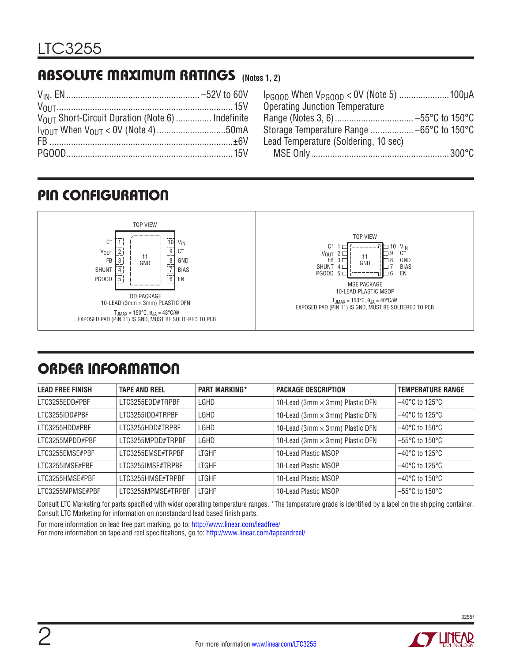# ABSOLUTE MAXIMUM RATINGS **(Notes 1, 2)**

| VOLLT Short-Circuit Duration (Note 6)  Indefinite |  |
|---------------------------------------------------|--|
|                                                   |  |
|                                                   |  |
|                                                   |  |

| <b>Operating Junction Temperature</b> |  |
|---------------------------------------|--|
|                                       |  |
|                                       |  |
| Lead Temperature (Soldering, 10 sec)  |  |
|                                       |  |

# PIN CONFIGURATION



# ORDER INFORMATION

| <b>LEAD FREE FINISH</b> | <b>TAPE AND REEL</b> | <b>PART MARKING*</b> | <b>PACKAGE DESCRIPTION</b>             | <b>TEMPERATURE RANGE</b>            |
|-------------------------|----------------------|----------------------|----------------------------------------|-------------------------------------|
| LTC3255EDD#PBF          | LTC3255EDD#TRPBF     | LGHD                 | 10-Lead (3mm $\times$ 3mm) Plastic DFN | $-40^{\circ}$ C to 125 $^{\circ}$ C |
| LTC3255IDD#PBF          | LTC3255IDD#TRPBF     | LGHD                 | 10-Lead (3mm $\times$ 3mm) Plastic DFN | $-40^{\circ}$ C to 125 $^{\circ}$ C |
| LTC3255HDD#PBF          | LTC3255HDD#TRPBF     | LGHD                 | 10-Lead (3mm $\times$ 3mm) Plastic DFN | $-40^{\circ}$ C to 150 $^{\circ}$ C |
| LTC3255MPDD#PBF         | LTC3255MPDD#TRPBF    | LGHD                 | 10-Lead (3mm $\times$ 3mm) Plastic DFN | $-55^{\circ}$ C to 150 $^{\circ}$ C |
| LTC3255EMSE#PBF         | LTC3255EMSE#TRPBF    | <b>LTGHF</b>         | 10-Lead Plastic MSOP                   | $-40^{\circ}$ C to 125 $^{\circ}$ C |
| LTC3255IMSE#PBF         | LTC3255IMSE#TRPBF    | <b>LTGHF</b>         | 10-Lead Plastic MSOP                   | $-40^{\circ}$ C to 125 $^{\circ}$ C |
| LTC3255HMSE#PBF         | LTC3255HMSE#TRPBF    | <b>LTGHF</b>         | 10-Lead Plastic MSOP                   | $-40^{\circ}$ C to 150 $^{\circ}$ C |
| LTC3255MPMSE#PBF        | LTC3255MPMSE#TRPBF   | <b>LTGHF</b>         | 10-Lead Plastic MSOP                   | $-55^{\circ}$ C to 150 $^{\circ}$ C |

Consult LTC Marketing for parts specified with wider operating temperature ranges. \*The temperature grade is identified by a label on the shipping container. Consult LTC Marketing for information on nonstandard lead based finish parts.

For more information on lead free part marking, go to: http://www.linear.com/leadfree/

For more information on tape and reel specifications, go to: http://www.linear.com/tapeandreel/

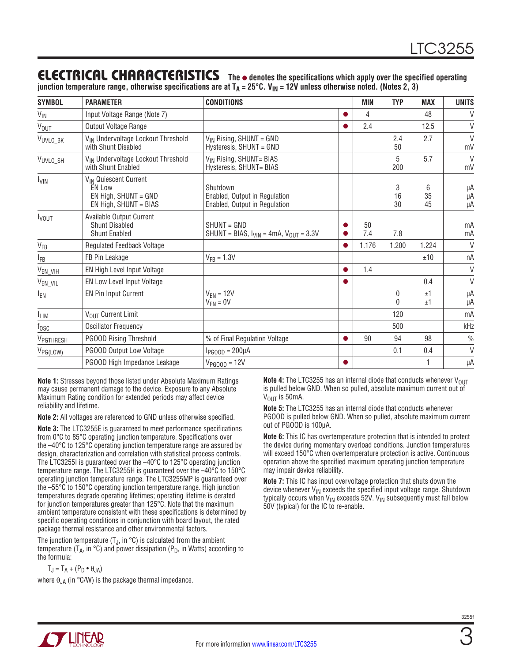### ELECTRICAL CHARACTERISTICS

**The** l **denotes the specifications which apply over the specified operating junction temperature range, otherwise specifications are at TA = 25°C. VIN = 12V unless otherwise noted. (Notes 2, 3)**

| <b>SYMBOL</b>           | <b>PARAMETER</b>                                                                                      | <b>CONDITIONS</b>                                                          |   | MIN       | <b>TYP</b>    | <b>MAX</b>    | <b>UNITS</b>       |
|-------------------------|-------------------------------------------------------------------------------------------------------|----------------------------------------------------------------------------|---|-----------|---------------|---------------|--------------------|
| $V_{\text{IN}}$         | Input Voltage Range (Note 7)                                                                          |                                                                            |   | 4         |               | 48            | $\vee$             |
| <b>V<sub>OUT</sub></b>  | Output Voltage Range                                                                                  |                                                                            |   | 2.4       |               | 12.5          | $\vee$             |
| V <sub>UVLO_BK</sub>    | V <sub>IN</sub> Undervoltage Lockout Threshold<br>with Shunt Disabled                                 | $V_{IN}$ Rising, SHUNT = GND<br>Hysteresis, SHUNT = GND                    |   |           | 2.4<br>50     | 2.7           | $\vee$<br>mV       |
| VUVLO_SH                | V <sub>IN</sub> Undervoltage Lockout Threshold<br>with Shunt Enabled                                  | V <sub>IN</sub> Rising, SHUNT= BIAS<br>Hysteresis, SHUNT= BIAS             |   |           | 5<br>200      | 5.7           | $\mathsf{V}$<br>mV |
| <b>L</b> <sub>VIN</sub> | V <sub>IN</sub> Quiescent Current<br><b>EN Low</b><br>EN High, SHUNT = GND<br>$EN$ High, SHUNT = BIAS | Shutdown<br>Enabled, Output in Regulation<br>Enabled, Output in Regulation |   |           | 3<br>16<br>30 | 6<br>35<br>45 | μA<br>μA<br>μA     |
| <b>I</b> vout           | Available Output Current<br><b>Shunt Disabled</b><br><b>Shunt Enabled</b>                             | SHUNT = GND<br>SHUNT = BIAS, $I_{VIN}$ = 4mA, $V_{OUT}$ = 3.3V             |   | 50<br>7.4 | 7.8           |               | mA<br>mA           |
| $V_{FB}$                | Regulated Feedback Voltage                                                                            |                                                                            |   | 1.176     | 1.200         | 1.224         | $\vee$             |
| <b>IFB</b>              | FB Pin Leakage                                                                                        | $V_{FB} = 1.3V$                                                            |   |           |               | ±10           | nA                 |
| V <sub>EN_VIH</sub>     | EN High Level Input Voltage                                                                           |                                                                            |   | 1.4       |               |               | $\vee$             |
| V <sub>EN_VIL</sub>     | EN Low Level Input Voltage                                                                            |                                                                            |   |           |               | 0.4           | V                  |
| $I_{EN}$                | <b>EN Pin Input Current</b>                                                                           | $V_{FN} = 12V$<br>$V_{EN} = 0V$                                            |   |           | 0<br>0        | ±1<br>±1      | μA<br>μA           |
| <sup>I</sup> LIM        | VOUT Current Limit                                                                                    |                                                                            |   |           | 120           |               | mA                 |
| $t_{\rm OSC}$           | <b>Oscillator Frequency</b>                                                                           |                                                                            |   |           | 500           |               | kHz                |
| V <sub>PGTHRESH</sub>   | <b>PGOOD Rising Threshold</b>                                                                         | % of Final Regulation Voltage                                              | O | 90        | 94            | 98            | $\frac{0}{0}$      |
| $V_{PG(LOW)}$           | PGOOD Output Low Voltage                                                                              | $I_{PGOOD} = 200 \mu A$                                                    |   |           | 0.1           | 0.4           | $\vee$             |
|                         | PGOOD High Impedance Leakage                                                                          | $V_{PGOOD} = 12V$                                                          |   |           |               |               | μA                 |

**Note 1:** Stresses beyond those listed under Absolute Maximum Ratings may cause permanent damage to the device. Exposure to any Absolute Maximum Rating condition for extended periods may affect device reliability and lifetime.

**Note 2:** All voltages are referenced to GND unless otherwise specified.

**Note 3:** The LTC3255E is guaranteed to meet performance specifications from 0°C to 85°C operating junction temperature. Specifications over the –40°C to 125°C operating junction temperature range are assured by design, characterization and correlation with statistical process controls. The LTC3255I is guaranteed over the –40°C to 125°C operating junction temperature range. The LTC3255H is guaranteed over the –40°C to 150°C operating junction temperature range. The LTC3255MP is guaranteed over the –55°C to 150°C operating junction temperature range. High junction temperatures degrade operating lifetimes; operating lifetime is derated for junction temperatures greater than 125°C. Note that the maximum ambient temperature consistent with these specifications is determined by specific operating conditions in conjunction with board layout, the rated package thermal resistance and other environmental factors.

The junction temperature  $(T_{\rm J},$  in  $^{\circ}$ C) is calculated from the ambient temperature ( $T_A$ , in  ${}^{\circ}$ C) and power dissipation ( $P_D$ , in Watts) according to the formula:

 $T_J = T_A + (P_D \cdot \theta_{JA})$ 

where  $\theta_{JA}$  (in °C/W) is the package thermal impedance.

**Note 4:** The LTC3255 has an internal diode that conducts whenever V<sub>OUT</sub> is pulled below GND. When so pulled, absolute maximum current out of  $V_{OIII}$  is 50 mA.

**Note 5:** The LTC3255 has an internal diode that conducts whenever PGOOD is pulled below GND. When so pulled, absolute maximum current out of PGOOD is 100µA.

**Note 6:** This IC has overtemperature protection that is intended to protect the device during momentary overload conditions. Junction temperatures will exceed 150°C when overtemperature protection is active. Continuous operation above the specified maximum operating junction temperature may impair device reliability.

**Note 7:** This IC has input overvoltage protection that shuts down the device whenever  $V_{IN}$  exceeds the specified input voltage range. Shutdown typically occurs when  $V_{\text{IN}}$  exceeds 52V.  $V_{\text{IN}}$  subsequently must fall below 50V (typical) for the IC to re-enable.

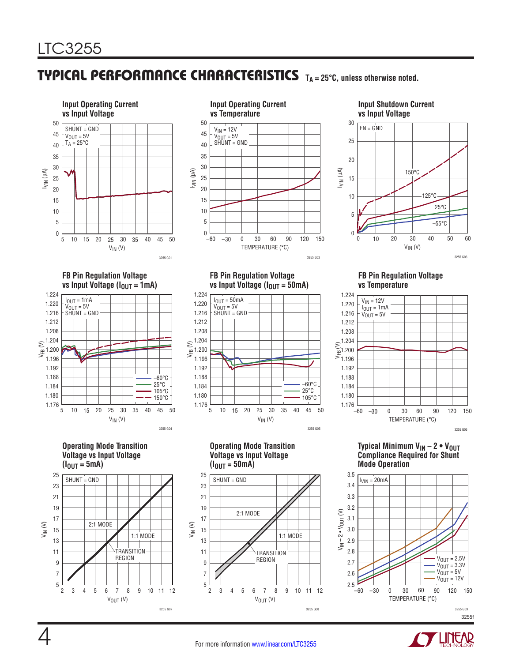### TYPICAL PERFORMANCE CHARACTERISTICS **TA = 25°C, unless otherwise noted.**



**FB Pin Regulation Voltage FB Pin Regulation Voltage** –60 0



**Operating Mode Transition Voltage vs Input Voltage**  $(I_{OUT} = 5mA)$ 





**vs Input Voltage** ( $I_{\text{OUT}} = 50 \text{mA}$ )

**Operating Mode Transition Voltage vs Input Voltage**

2:1 MODE

•

 $V_{IN}$  (V)

10 15 20 30 35 40 45 50

3255 G05

 $-60^{\circ}$ C 25°C 105°C

25

 $(I_{\text{OUT}} = 50 \text{mA})$ 

 $SHUNT = GND$ 

5

2

VIN (V) 17

21

23

19

13

11

15

9

7 5

25

1.208

1.212

1.192

1.188

1.196

1.184

1.180 1.176

1.216

1.224

1.220

 $I_{OUT} = 50mA$  $V_{\text{OUT}} = 5V$ SHUNT = GND



**FB Pin Regulation Voltage vs Temperature**



**Typical Minimum V<sub>IN</sub> – 2 • V<sub>OUT</sub> Compliance Required for Shunt Mode Operation**





 $V_{OUT} (V)$ 

3 4 5 6 7 8 9 11 12

TRANSITION **REGION** 

10

1:1 MODE

3255 G08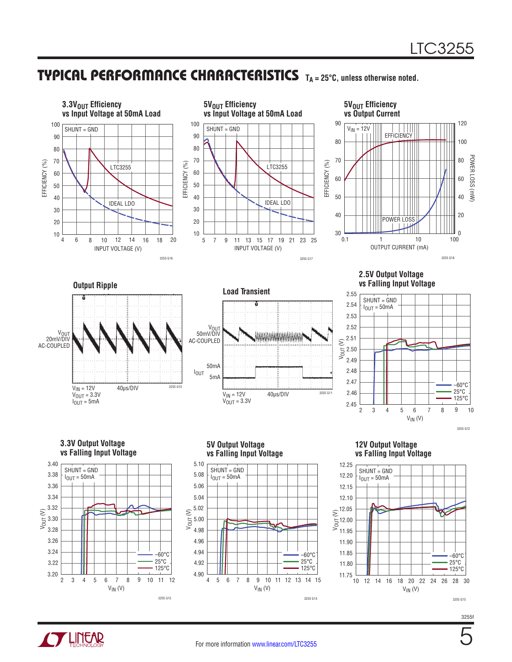### TYPICAL PERFORMANCE CHARACTERISTICS **TA = 25°C, unless otherwise noted.**



3255 G15

25°C 125°C

 $V_{IN}$  (V)

12 14 16 18 20 22 24 26 28 30

5



2 3.20

3.22

 $V_{IN} (V)$ 

3 4 5 6 7 8 9 10 11 12

4 6 7

 $V_{IN}$  (V)

5 7 10 11 12 13 14 15

3255 G14

10 11.75

11.80

125°C

6 8 9

4 4.90

4.92

3255 G13

125°C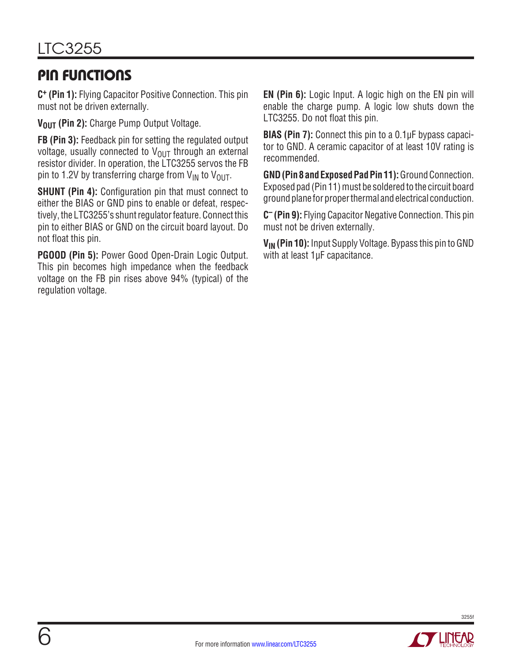### PIN FUNCTIONS

**C+ (Pin 1):** Flying Capacitor Positive Connection. This pin must not be driven externally.

V<sub>OUT</sub> (Pin 2): Charge Pump Output Voltage.

**FB (Pin 3):** Feedback pin for setting the regulated output voltage, usually connected to  $V_{\text{OUT}}$  through an external resistor divider. In operation, the LTC3255 servos the FB pin to 1.2V by transferring charge from  $V_{IN}$  to  $V_{OIII}$ .

**SHUNT (Pin 4):** Configuration pin that must connect to either the BIAS or GND pins to enable or defeat, respectively, the LTC3255's shunt regulator feature. Connect this pin to either BIAS or GND on the circuit board layout. Do not float this pin.

**PGOOD (Pin 5):** Power Good Open-Drain Logic Output. This pin becomes high impedance when the feedback voltage on the FB pin rises above 94% (typical) of the regulation voltage.

**EN (Pin 6):** Logic Input. A logic high on the EN pin will enable the charge pump. A logic low shuts down the LTC3255. Do not float this pin.

**BIAS (Pin 7):** Connect this pin to a 0.1µF bypass capacitor to GND. A ceramic capacitor of at least 10V rating is recommended.

GND (Pin 8 and Exposed Pad Pin 11): Ground Connection. Exposed pad (Pin 11) must be soldered to the circuit board ground plane for proper thermal and electrical conduction.

**C– (Pin 9):** Flying Capacitor Negative Connection. This pin must not be driven externally.

**V<sub>IN</sub>** (Pin 10): Input Supply Voltage. Bypass this pin to GND with at least 1µF capacitance.

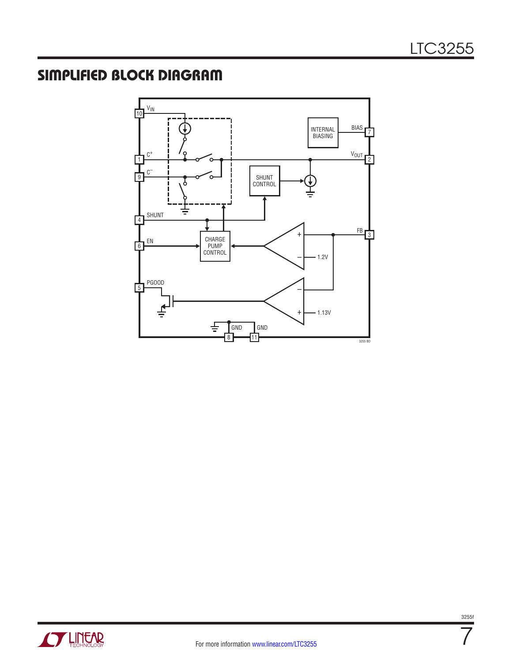# SIMPLIFIED BLOCK DIAGRAM





7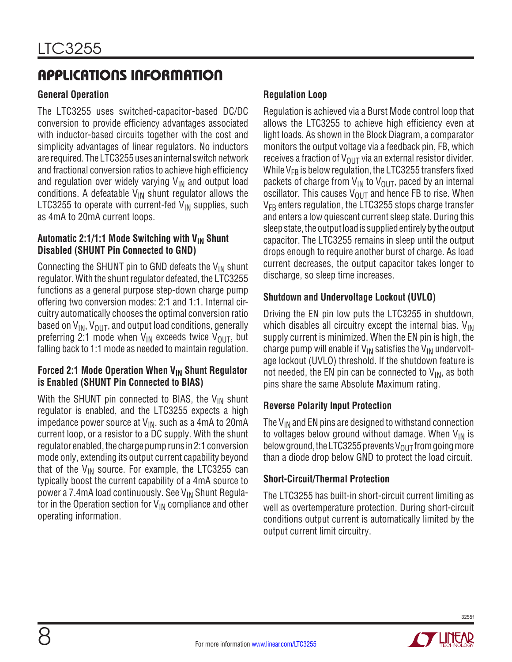#### **General Operation**

The LTC3255 uses switched-capacitor-based DC/DC conversion to provide efficiency advantages associated with inductor-based circuits together with the cost and simplicity advantages of linear regulators. No inductors are required. The LTC3255 uses an internal switch network and fractional conversion ratios to achieve high efficiency and regulation over widely varying  $V_{IN}$  and output load conditions. A defeatable  $V_{IN}$  shunt regulator allows the LTC3255 to operate with current-fed  $V_{IN}$  supplies, such as 4mA to 20mA current loops.

#### **Automatic 2:1/1:1 Mode Switching with V<sub>IN</sub> Shunt Disabled (SHUNT Pin Connected to GND)**

Connecting the SHUNT pin to GND defeats the  $V_{IN}$  shunt regulator. With the shunt regulator defeated, the LTC3255 functions as a general purpose step-down charge pump offering two conversion modes: 2:1 and 1:1. Internal circuitry automatically chooses the optimal conversion ratio based on  $V_{IN}$ ,  $V_{OUT}$ , and output load conditions, generally preferring 2:1 mode when  $V_{IN}$  exceeds twice  $V_{OUT}$ , but falling back to 1:1 mode as needed to maintain regulation.

#### **Forced 2:1 Mode Operation When V<sub>IN</sub> Shunt Regulator is Enabled (SHUNT Pin Connected to BIAS)**

With the SHUNT pin connected to BIAS, the  $V_{IN}$  shunt regulator is enabled, and the LTC3255 expects a high impedance power source at  $V_{IN}$ , such as a 4mA to 20mA current loop, or a resistor to a DC supply. With the shunt regulator enabled, the charge pump runs in 2:1 conversion mode only, extending its output current capability beyond that of the  $V_{IN}$  source. For example, the LTC3255 can typically boost the current capability of a 4mA source to power a 7.4mA load continuously. See  $V_{IN}$  Shunt Regulator in the Operation section for  $V_{\text{IN}}$  compliance and other operating information.

#### **Regulation Loop**

Regulation is achieved via a Burst Mode control loop that allows the LTC3255 to achieve high efficiency even at light loads. As shown in the Block Diagram, a comparator monitors the output voltage via a feedback pin, FB, which receives a fraction of  $V_{OUT}$  via an external resistor divider. While  $V_{FR}$  is below regulation, the LTC3255 transfers fixed packets of charge from  $V_{IN}$  to  $V_{OUT}$ , paced by an internal oscillator. This causes  $V_{\text{OUT}}$  and hence FB to rise. When  $V_{FB}$  enters regulation, the LTC3255 stops charge transfer and enters a low quiescent current sleep state. During this sleep state, the output load is supplied entirely by the output capacitor. The LTC3255 remains in sleep until the output drops enough to require another burst of charge. As load current decreases, the output capacitor takes longer to discharge, so sleep time increases.

#### **Shutdown and Undervoltage Lockout (UVLO)**

Driving the EN pin low puts the LTC3255 in shutdown, which disables all circuitry except the internal bias.  $V_{\text{IN}}$ supply current is minimized. When the EN pin is high, the charge pump will enable if  $V_{IN}$  satisfies the  $V_{IN}$  undervoltage lockout (UVLO) threshold. If the shutdown feature is not needed, the EN pin can be connected to  $V_{IN}$ , as both pins share the same Absolute Maximum rating.

#### **Reverse Polarity Input Protection**

The  $V_{IN}$  and EN pins are designed to withstand connection to voltages below ground without damage. When  $V_{IN}$  is below ground, the LTC3255 prevents  $V_{OUT}$  from going more than a diode drop below GND to protect the load circuit.

#### **Short-Circuit/Thermal Protection**

The LTC3255 has built-in short-circuit current limiting as well as overtemperature protection. During short-circuit conditions output current is automatically limited by the output current limit circuitry.

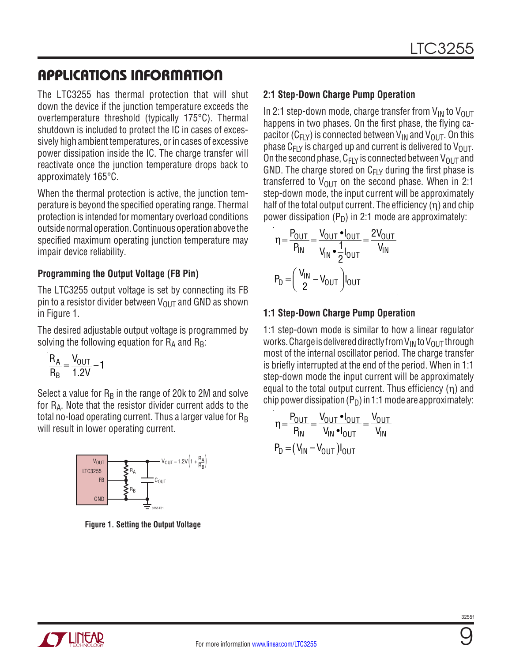The LTC3255 has thermal protection that will shut down the device if the junction temperature exceeds the overtemperature threshold (typically 175°C). Thermal shutdown is included to protect the IC in cases of excessively high ambient temperatures, or in cases of excessive power dissipation inside the IC. The charge transfer will reactivate once the junction temperature drops back to approximately 165°C.

When the thermal protection is active, the junction temperature is beyond the specified operating range. Thermal protection is intended for momentary overload conditions outsidenormaloperation. Continuousoperationabove the specified maximum operating junction temperature may impair device reliability.

#### **Programming the Output Voltage (FB Pin)**

The LTC3255 output voltage is set by connecting its FB pin to a resistor divider between  $V_{\text{OUT}}$  and GND as shown in Figure 1.

The desired adjustable output voltage is programmed by solving the following equation for  $R_A$  and  $R_B$ :

$$
\frac{R_A}{R_B} = \frac{V_{OUT}}{1.2V} - 1
$$

Select a value for  $R_B$  in the range of 20k to 2M and solve for RA. Note that the resistor divider current adds to the total no-load operating current. Thus a larger value for  $R_B$ will result in lower operating current.



**Figure 1. Setting the Output Voltage**

#### **2:1 Step-Down Charge Pump Operation**

In 2:1 step-down mode, charge transfer from  $V_{IN}$  to  $V_{OUT}$ happens in two phases. On the first phase, the flying capacitor ( $C_{F1Y}$ ) is connected between  $V_{IN}$  and  $V_{OUT}$ . On this phase  $C_{FLY}$  is charged up and current is delivered to  $V_{OUT}$ . On the second phase,  $C_{F|Y}$  is connected between  $V_{O|I}T$  and GND. The charge stored on  $C_{F|Y}$  during the first phase is transferred to  $V_{\text{OUT}}$  on the second phase. When in 2:1 step-down mode, the input current will be approximately half of the total output current. The efficiency  $(\eta)$  and chip power dissipation  $(P_D)$  in 2:1 mode are approximately:

$$
\eta = \frac{P_{OUT}}{P_{IN}} = \frac{V_{OUT} \cdot I_{OUT}}{V_{IN} \cdot \frac{1}{2}I_{OUT}} = \frac{2V_{OUT}}{V_{IN}}
$$

$$
P_D = \left(\frac{V_{IN}}{2} - V_{OUT}\right)I_{OUT}
$$

#### **1:1 Step-Down Charge Pump Operation**

1:1 step-down mode is similar to how a linear regulator works. Charge is delivered directly from  $V_{IN}$  to  $V_{OUT}$  through most of the internal oscillator period. The charge transfer is briefly interrupted at the end of the period. When in 1:1 step-down mode the input current will be approximately equal to the total output current. Thus efficiency (η) and chip power dissipation  $(P_D)$  in 1:1 mode are approximately:

$$
\eta = \frac{P_{OUT}}{P_{IN}} = \frac{V_{OUT} \cdot I_{OUT}}{V_{IN} \cdot I_{OUT}} = \frac{V_{OUT}}{V_{IN}}
$$

$$
P_D = (V_{IN} - V_{OUT})I_{OUT}
$$



9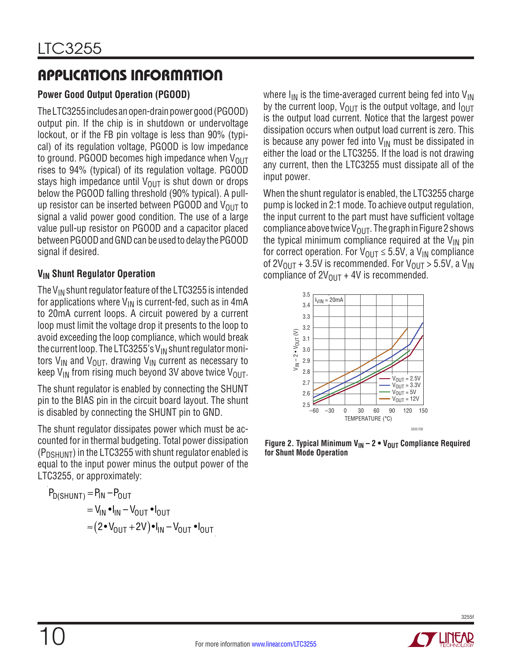### **Power Good Output Operation (PGOOD)**

TheLTC3255includesanopen-drainpowergood (PGOOD) output pin. If the chip is in shutdown or undervoltage lockout, or if the FB pin voltage is less than 90% (typical) of its regulation voltage, PGOOD is low impedance to ground. PGOOD becomes high impedance when  $V_{OUT}$ rises to 94% (typical) of its regulation voltage. PGOOD stays high impedance until  $V_{\text{OUT}}$  is shut down or drops below the PGOOD falling threshold (90% typical). A pullup resistor can be inserted between PGOOD and  $V_{OUT}$  to signal a valid power good condition. The use of a large value pull-up resistor on PGOOD and a capacitor placed between PGOOD and GND can be used to delay the PGOOD signal if desired.

#### **VIN Shunt Regulator Operation**

The  $V_{IN}$  shunt regulator feature of the LTC3255 is intended for applications where  $V_{IN}$  is current-fed, such as in 4mA to 20mA current loops. A circuit powered by a current loop must limit the voltage drop it presents to the loop to avoid exceeding the loop compliance, which would break the current loop. The LTC3255's  $V_{IN}$  shunt regulator monitors  $V_{IN}$  and  $V_{OUT}$ , drawing  $V_{IN}$  current as necessary to keep  $V_{IN}$  from rising much beyond 3V above twice  $V_{OUT}$ .

The shunt regulator is enabled by connecting the SHUNT pin to the BIAS pin in the circuit board layout. The shunt is disabled by connecting the SHUNT pin to GND.

The shunt regulator dissipates power which must be accounted for in thermal budgeting. Total power dissipation  $(P_{DSHUNT})$  in the LTC3255 with shunt regulator enabled is equal to the input power minus the output power of the LTC3255, or approximately:

$$
P_{D(SHUNT)} = P_{IN} - P_{OUT}
$$
  
=  $V_{IN} \cdot I_{IN} - V_{OUT} \cdot I_{OUT}$   

$$
\approx (2 \cdot V_{OUT} + 2V) \cdot I_{IN} - V_{OUT} \cdot I_{OUT}
$$

where  $I_{IN}$  is the time-averaged current being fed into  $V_{IN}$ by the current loop,  $V_{\text{OUT}}$  is the output voltage, and  $I_{\text{OUT}}$ is the output load current. Notice that the largest power dissipation occurs when output load current is zero. This is because any power fed into  $V_{\text{IN}}$  must be dissipated in either the load or the LTC3255. If the load is not drawing any current, then the LTC3255 must dissipate all of the input power.

When the shunt regulator is enabled, the LTC3255 charge pump is locked in 2:1 mode. To achieve output regulation, the input current to the part must have sufficient voltage compliance above twice  $V_{\text{OUT}}$ . The graph in Figure 2 shows the typical minimum compliance required at the  $V_{IN}$  pin for correct operation. For  $V_{\text{OUT}} \leq 5.5V$ , a  $V_{\text{IN}}$  compliance of  $2V_{\text{OUT}} + 3.5V$  is recommended. For  $V_{\text{OUT}} > 5.5V$ , a  $V_{\text{IN}}$ compliance of  $2V_{OUT} + 4V$  is recommended.



**Figure 2. Typical Minimum**  $V_{IN} - 2 \cdot V_{OUT}$  **Compliance Required for Shunt Mode Operation**

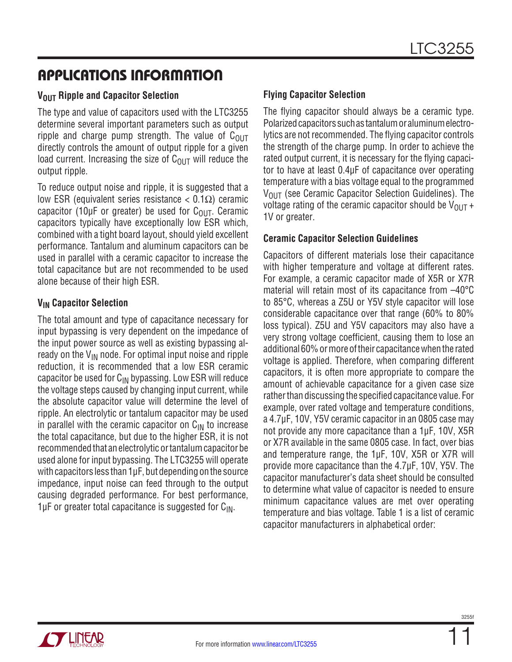#### **VOUT Ripple and Capacitor Selection**

The type and value of capacitors used with the LTC3255 determine several important parameters such as output ripple and charge pump strength. The value of  $C<sub>OUT</sub>$ directly controls the amount of output ripple for a given load current. Increasing the size of  $C_{\text{OUT}}$  will reduce the output ripple.

To reduce output noise and ripple, it is suggested that a low ESR (equivalent series resistance < 0.1Ω) ceramic capacitor (10μF or greater) be used for  $C_{OIII}$ . Ceramic capacitors typically have exceptionally low ESR which, combined with a tight board layout, should yield excellent performance. Tantalum and aluminum capacitors can be used in parallel with a ceramic capacitor to increase the total capacitance but are not recommended to be used alone because of their high ESR.

#### **VIN Capacitor Selection**

The total amount and type of capacitance necessary for input bypassing is very dependent on the impedance of the input power source as well as existing bypassing already on the  $V_{IN}$  node. For optimal input noise and ripple reduction, it is recommended that a low ESR ceramic capacitor be used for  $C_{IN}$  bypassing. Low ESR will reduce the voltage steps caused by changing input current, while the absolute capacitor value will determine the level of ripple. An electrolytic or tantalum capacitor may be used in parallel with the ceramic capacitor on  $C_{\text{IN}}$  to increase the total capacitance, but due to the higher ESR, it is not recommended that an electrolytic ortantalumcapacitor be used alone for input bypassing. The LTC3255 will operate with capacitors less than 1μF, but depending on the source impedance, input noise can feed through to the output causing degraded performance. For best performance,  $1\mu$ F or greater total capacitance is suggested for  $C_{\text{IN}}$ .

#### **Flying Capacitor Selection**

The flying capacitor should always be a ceramic type. Polarized capacitors such as tantalum or aluminum electrolytics are not recommended. The flying capacitor controls the strength of the charge pump. In order to achieve the rated output current, it is necessary for the flying capacitor to have at least 0.4μF of capacitance over operating temperature with a bias voltage equal to the programmed  $V_{\text{OUT}}$  (see Ceramic Capacitor Selection Guidelines). The voltage rating of the ceramic capacitor should be  $V_{OUT}$  + 1V or greater.

#### **Ceramic Capacitor Selection Guidelines**

Capacitors of different materials lose their capacitance with higher temperature and voltage at different rates. For example, a ceramic capacitor made of X5R or X7R material will retain most of its capacitance from –40°C to 85°C, whereas a Z5U or Y5V style capacitor will lose considerable capacitance over that range (60% to 80% loss typical). Z5U and Y5V capacitors may also have a very strong voltage coefficient, causing them to lose an additional 60% or more of their capacitance when the rated voltage is applied. Therefore, when comparing different capacitors, it is often more appropriate to compare the amount of achievable capacitance for a given case size rather than discussing the specified capacitance value. For example, over rated voltage and temperature conditions, a 4.7μF, 10V, Y5V ceramic capacitor in an 0805 case may not provide any more capacitance than a 1μF, 10V, X5R or X7R available in the same 0805 case. In fact, over bias and temperature range, the 1μF, 10V, X5R or X7R will provide more capacitance than the 4.7μF, 10V, Y5V. The capacitor manufacturer's data sheet should be consulted to determine what value of capacitor is needed to ensure minimum capacitance values are met over operating temperature and bias voltage. Table 1 is a list of ceramic capacitor manufacturers in alphabetical order:

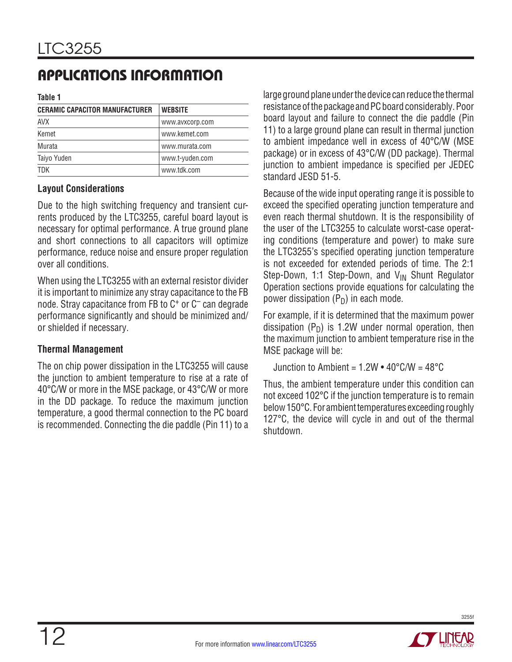**Table 1**

| <b>CERAMIC CAPACITOR MANUFACTURER</b> | <b>WEBSITE</b>  |
|---------------------------------------|-----------------|
| <b>AVX</b>                            | www.avxcorp.com |
| Kemet                                 | www.kemet.com   |
| Murata                                | www.murata.com  |
| Taiyo Yuden                           | www.t-yuden.com |
| TDK                                   | www.tdk.com     |

#### **Layout Considerations**

Due to the high switching frequency and transient currents produced by the LTC3255, careful board layout is necessary for optimal performance. A true ground plane and short connections to all capacitors will optimize performance, reduce noise and ensure proper regulation over all conditions.

When using the LTC3255 with an external resistor divider it is important to minimize any stray capacitance to the FB node. Stray capacitance from FB to C<sup>+</sup> or C<sup>-</sup> can degrade performance significantly and should be minimized and/ or shielded if necessary.

#### **Thermal Management**

The on chip power dissipation in the LTC3255 will cause the junction to ambient temperature to rise at a rate of 40°C/W or more in the MSE package, or 43°C/W or more in the DD package. To reduce the maximum junction temperature, a good thermal connection to the PC board is recommended. Connecting the die paddle (Pin 11) to a large ground plane under the device can reduce the thermal resistance of the package and PC board considerably. Poor board layout and failure to connect the die paddle (Pin 11) to a large ground plane can result in thermal junction to ambient impedance well in excess of 40°C/W (MSE package) or in excess of 43°C/W (DD package). Thermal junction to ambient impedance is specified per JEDEC standard JESD 51-5.

Because of the wide input operating range it is possible to exceed the specified operating junction temperature and even reach thermal shutdown. It is the responsibility of the user of the LTC3255 to calculate worst-case operating conditions (temperature and power) to make sure the LTC3255's specified operating junction temperature is not exceeded for extended periods of time. The 2:1 Step-Down, 1:1 Step-Down, and  $V_{IN}$  Shunt Regulator Operation sections provide equations for calculating the power dissipation  $(P_D)$  in each mode.

For example, if it is determined that the maximum power dissipation  $(P_D)$  is 1.2W under normal operation, then the maximum junction to ambient temperature rise in the MSE package will be:

Junction to Ambient =  $1.2W \cdot 40^{\circ}$ C/W =  $48^{\circ}$ C

Thus, the ambient temperature under this condition can not exceed 102°C if the junction temperature is to remain below 150°C. For ambient temperatures exceeding roughly 127°C, the device will cycle in and out of the thermal shutdown.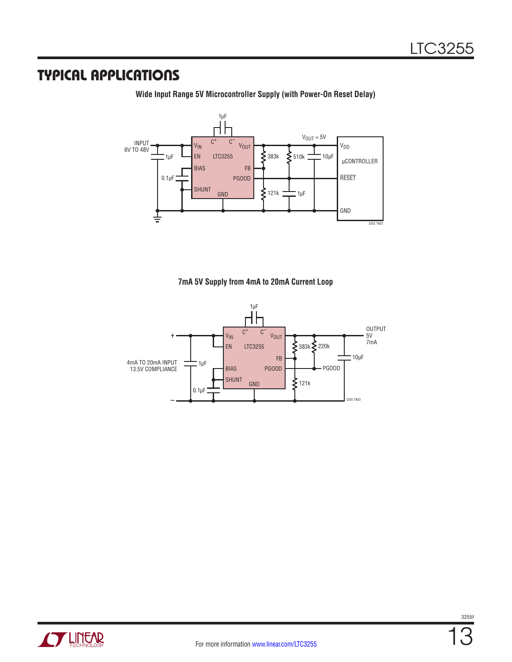### TYPICAL APPLICATIONS

**Wide Input Range 5V Microcontroller Supply (with Power-On Reset Delay)**



**7mA 5V Supply from 4mA to 20mA Current Loop**



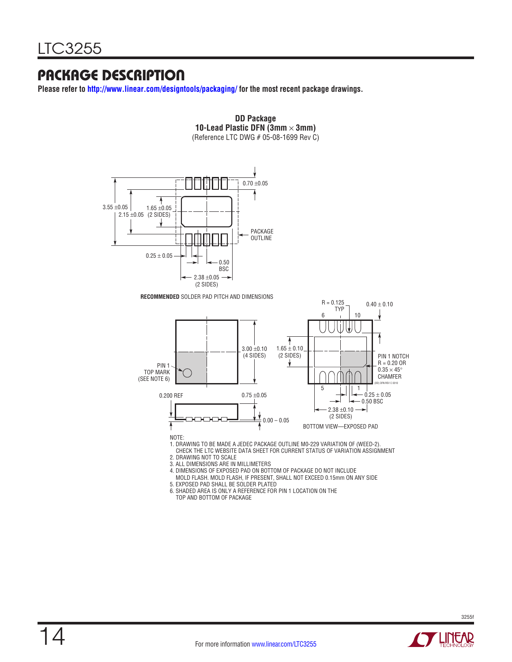### PACKAGE DESCRIPTION

**Please refer to http://www.linear.com/designtools/packaging/ for the most recent package drawings.**





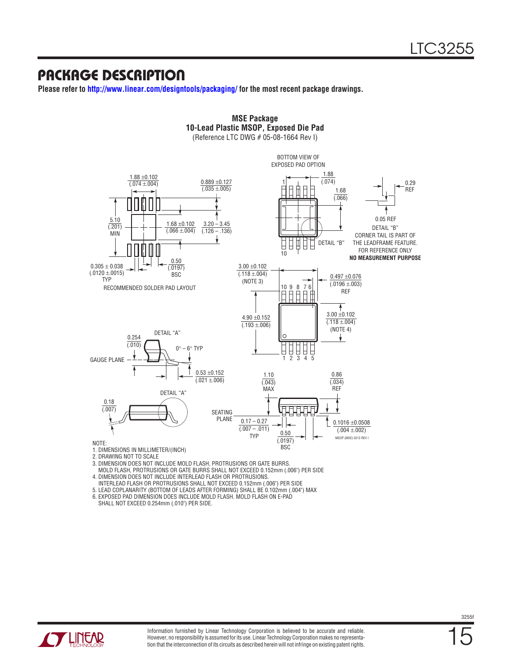### PACKAGE DESCRIPTION

**Please refer to http://www.linear.com/designtools/packaging/ for the most recent package drawings.**



**MSE Package**

- 2. DRAWING NOT TO SCALE
- 3. DIMENSION DOES NOT INCLUDE MOLD FLASH, PROTRUSIONS OR GATE BURRS.
- MOLD FLASH, PROTRUSIONS OR GATE BURRS SHALL NOT EXCEED 0.152mm (.006") PER SIDE
- 4. DIMENSION DOES NOT INCLUDE INTERLEAD FLASH OR PROTRUSIONS.
- INTERLEAD FLASH OR PROTRUSIONS SHALL NOT EXCEED 0.152mm (.006") PER SIDE
- 5. LEAD COPLANARITY (BOTTOM OF LEADS AFTER FORMING) SHALL BE 0.102mm (.004") MAX

6. EXPOSED PAD DIMENSION DOES INCLUDE MOLD FLASH. MOLD FLASH ON E-PAD SHALL NOT EXCEED 0.254mm (.010") PER SIDE.